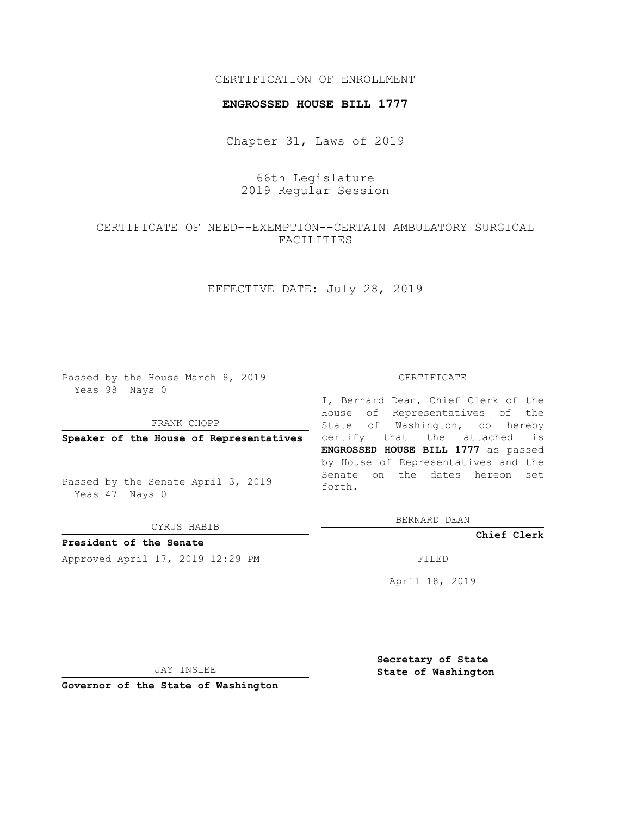#### CERTIFICATION OF ENROLLMENT

#### **ENGROSSED HOUSE BILL 1777**

Chapter 31, Laws of 2019

# 66th Legislature 2019 Regular Session

# CERTIFICATE OF NEED--EXEMPTION--CERTAIN AMBULATORY SURGICAL FACILITIES

# EFFECTIVE DATE: July 28, 2019

Passed by the House March 8, 2019 Yeas 98 Nays 0

### FRANK CHOPP

**Speaker of the House of Representatives**

Passed by the Senate April 3, 2019 Yeas 47 Nays 0

CYRUS HABIB

**President of the Senate**

Approved April 17, 2019 12:29 PM FILED

#### CERTIFICATE

I, Bernard Dean, Chief Clerk of the House of Representatives of the State of Washington, do hereby certify that the attached is **ENGROSSED HOUSE BILL 1777** as passed by House of Representatives and the Senate on the dates hereon set forth.

BERNARD DEAN

**Chief Clerk**

April 18, 2019

JAY INSLEE

**Governor of the State of Washington**

**Secretary of State State of Washington**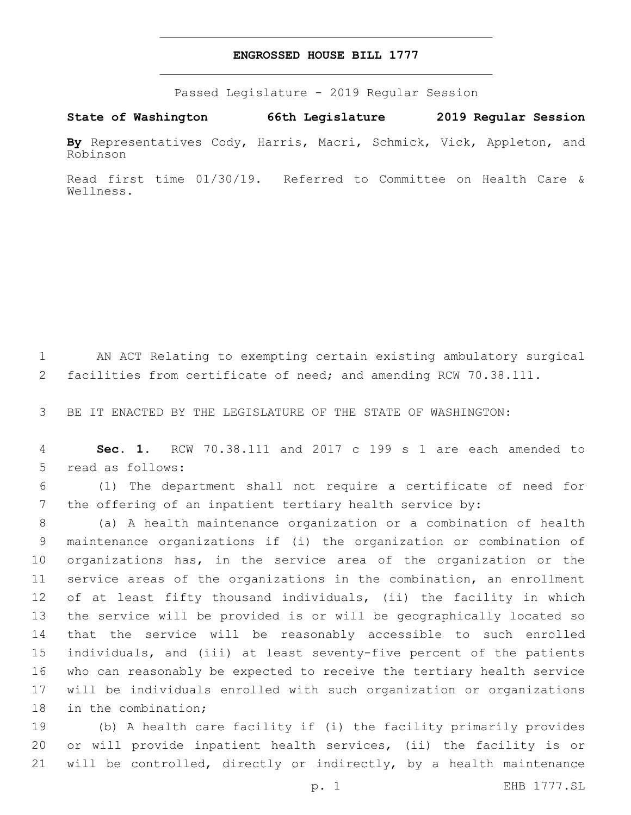#### **ENGROSSED HOUSE BILL 1777**

Passed Legislature - 2019 Regular Session

**State of Washington 66th Legislature 2019 Regular Session**

**By** Representatives Cody, Harris, Macri, Schmick, Vick, Appleton, and Robinson

Read first time 01/30/19. Referred to Committee on Health Care & Wellness.

 AN ACT Relating to exempting certain existing ambulatory surgical facilities from certificate of need; and amending RCW 70.38.111.

BE IT ENACTED BY THE LEGISLATURE OF THE STATE OF WASHINGTON:

 **Sec. 1.** RCW 70.38.111 and 2017 c 199 s 1 are each amended to 5 read as follows:

 (1) The department shall not require a certificate of need for the offering of an inpatient tertiary health service by:

 (a) A health maintenance organization or a combination of health maintenance organizations if (i) the organization or combination of organizations has, in the service area of the organization or the service areas of the organizations in the combination, an enrollment of at least fifty thousand individuals, (ii) the facility in which the service will be provided is or will be geographically located so that the service will be reasonably accessible to such enrolled individuals, and (iii) at least seventy-five percent of the patients who can reasonably be expected to receive the tertiary health service will be individuals enrolled with such organization or organizations 18 in the combination;

 (b) A health care facility if (i) the facility primarily provides or will provide inpatient health services, (ii) the facility is or will be controlled, directly or indirectly, by a health maintenance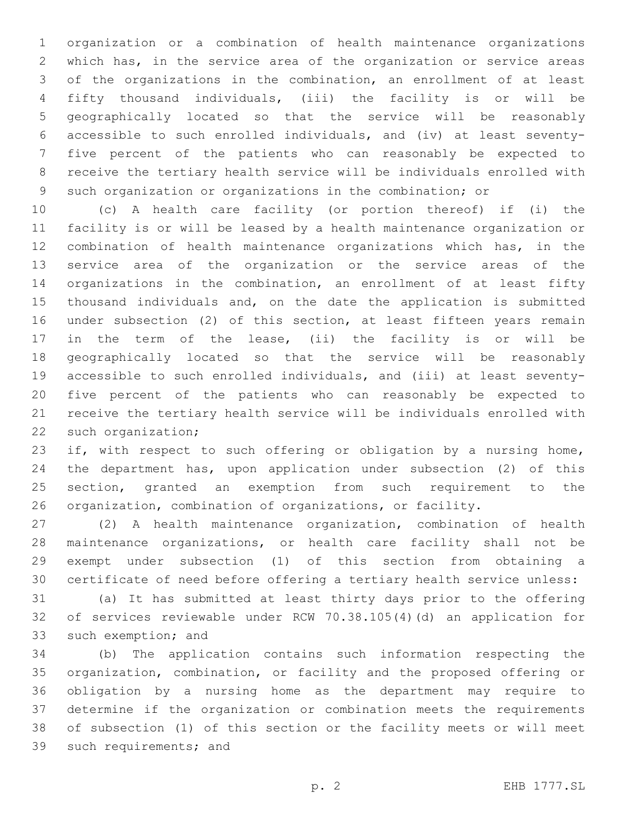organization or a combination of health maintenance organizations which has, in the service area of the organization or service areas of the organizations in the combination, an enrollment of at least fifty thousand individuals, (iii) the facility is or will be geographically located so that the service will be reasonably accessible to such enrolled individuals, and (iv) at least seventy- five percent of the patients who can reasonably be expected to receive the tertiary health service will be individuals enrolled with such organization or organizations in the combination; or

 (c) A health care facility (or portion thereof) if (i) the facility is or will be leased by a health maintenance organization or combination of health maintenance organizations which has, in the service area of the organization or the service areas of the organizations in the combination, an enrollment of at least fifty thousand individuals and, on the date the application is submitted under subsection (2) of this section, at least fifteen years remain in the term of the lease, (ii) the facility is or will be geographically located so that the service will be reasonably accessible to such enrolled individuals, and (iii) at least seventy- five percent of the patients who can reasonably be expected to receive the tertiary health service will be individuals enrolled with 22 such organization;

23 if, with respect to such offering or obligation by a nursing home, the department has, upon application under subsection (2) of this section, granted an exemption from such requirement to the organization, combination of organizations, or facility.

 (2) A health maintenance organization, combination of health maintenance organizations, or health care facility shall not be exempt under subsection (1) of this section from obtaining a certificate of need before offering a tertiary health service unless:

 (a) It has submitted at least thirty days prior to the offering of services reviewable under RCW 70.38.105(4)(d) an application for 33 such exemption; and

 (b) The application contains such information respecting the organization, combination, or facility and the proposed offering or obligation by a nursing home as the department may require to determine if the organization or combination meets the requirements of subsection (1) of this section or the facility meets or will meet 39 such requirements; and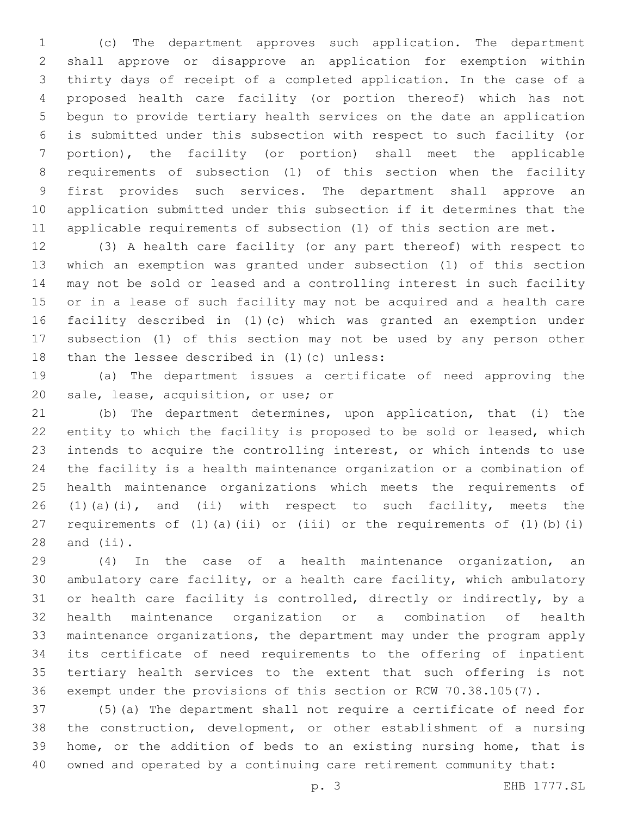(c) The department approves such application. The department shall approve or disapprove an application for exemption within thirty days of receipt of a completed application. In the case of a proposed health care facility (or portion thereof) which has not begun to provide tertiary health services on the date an application is submitted under this subsection with respect to such facility (or portion), the facility (or portion) shall meet the applicable requirements of subsection (1) of this section when the facility first provides such services. The department shall approve an application submitted under this subsection if it determines that the applicable requirements of subsection (1) of this section are met.

 (3) A health care facility (or any part thereof) with respect to which an exemption was granted under subsection (1) of this section may not be sold or leased and a controlling interest in such facility or in a lease of such facility may not be acquired and a health care facility described in (1)(c) which was granted an exemption under subsection (1) of this section may not be used by any person other 18 than the lessee described in  $(1)(c)$  unless:

 (a) The department issues a certificate of need approving the 20 sale, lease, acquisition, or use; or

 (b) The department determines, upon application, that (i) the entity to which the facility is proposed to be sold or leased, which intends to acquire the controlling interest, or which intends to use the facility is a health maintenance organization or a combination of health maintenance organizations which meets the requirements of 26 (1)(a)(i), and (ii) with respect to such facility, meets the requirements of (1)(a)(ii) or (iii) or the requirements of (1)(b)(i) and  $(iii)$ .

 (4) In the case of a health maintenance organization, an ambulatory care facility, or a health care facility, which ambulatory or health care facility is controlled, directly or indirectly, by a health maintenance organization or a combination of health maintenance organizations, the department may under the program apply its certificate of need requirements to the offering of inpatient tertiary health services to the extent that such offering is not exempt under the provisions of this section or RCW 70.38.105(7).

 (5)(a) The department shall not require a certificate of need for the construction, development, or other establishment of a nursing home, or the addition of beds to an existing nursing home, that is owned and operated by a continuing care retirement community that: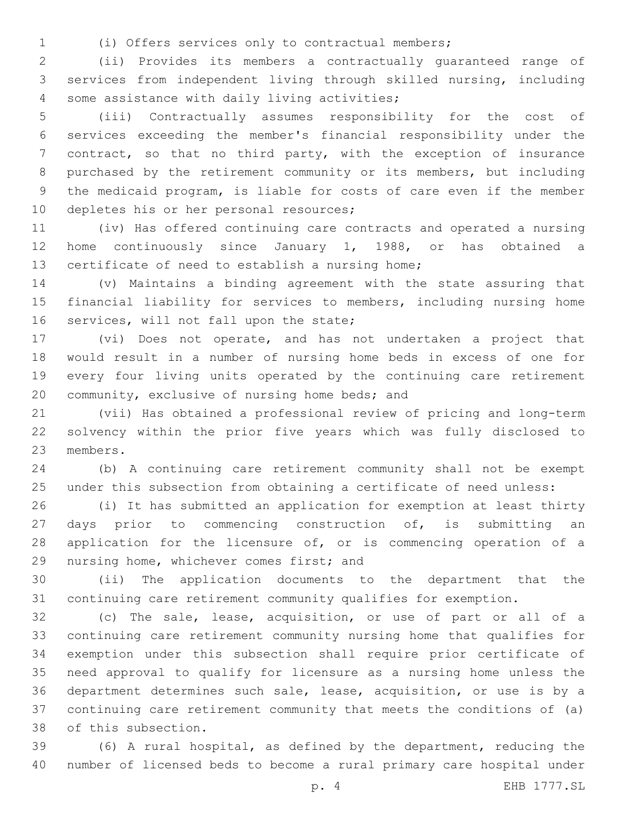(i) Offers services only to contractual members;

 (ii) Provides its members a contractually guaranteed range of services from independent living through skilled nursing, including 4 some assistance with daily living activities;

 (iii) Contractually assumes responsibility for the cost of services exceeding the member's financial responsibility under the contract, so that no third party, with the exception of insurance purchased by the retirement community or its members, but including the medicaid program, is liable for costs of care even if the member 10 depletes his or her personal resources;

 (iv) Has offered continuing care contracts and operated a nursing home continuously since January 1, 1988, or has obtained a 13 certificate of need to establish a nursing home;

 (v) Maintains a binding agreement with the state assuring that financial liability for services to members, including nursing home 16 services, will not fall upon the state;

 (vi) Does not operate, and has not undertaken a project that would result in a number of nursing home beds in excess of one for every four living units operated by the continuing care retirement 20 community, exclusive of nursing home beds; and

 (vii) Has obtained a professional review of pricing and long-term solvency within the prior five years which was fully disclosed to 23 members.

 (b) A continuing care retirement community shall not be exempt under this subsection from obtaining a certificate of need unless:

 (i) It has submitted an application for exemption at least thirty 27 days prior to commencing construction of, is submitting an 28 application for the licensure of, or is commencing operation of a 29 nursing home, whichever comes first; and

 (ii) The application documents to the department that the continuing care retirement community qualifies for exemption.

 (c) The sale, lease, acquisition, or use of part or all of a continuing care retirement community nursing home that qualifies for exemption under this subsection shall require prior certificate of need approval to qualify for licensure as a nursing home unless the department determines such sale, lease, acquisition, or use is by a continuing care retirement community that meets the conditions of (a) 38 of this subsection.

 (6) A rural hospital, as defined by the department, reducing the number of licensed beds to become a rural primary care hospital under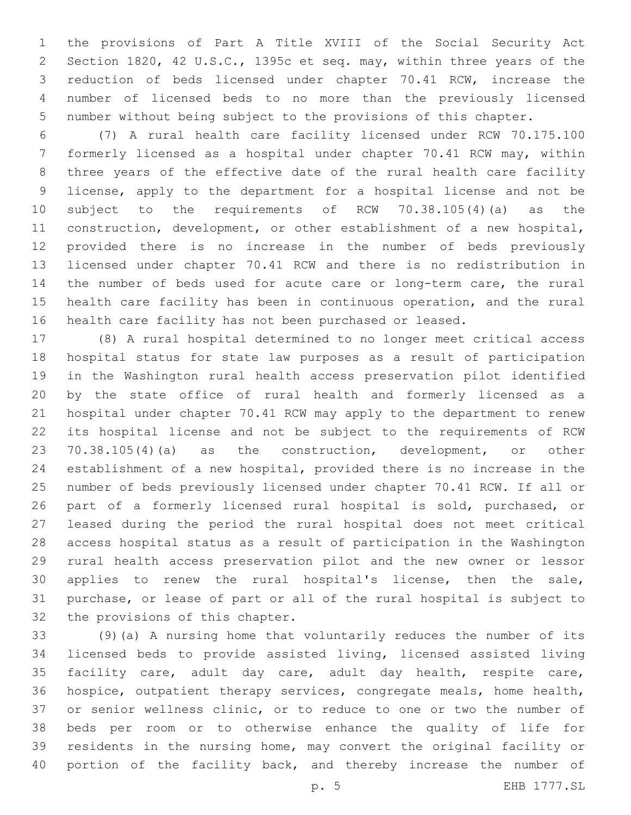the provisions of Part A Title XVIII of the Social Security Act Section 1820, 42 U.S.C., 1395c et seq. may, within three years of the reduction of beds licensed under chapter 70.41 RCW, increase the number of licensed beds to no more than the previously licensed number without being subject to the provisions of this chapter.

 (7) A rural health care facility licensed under RCW 70.175.100 formerly licensed as a hospital under chapter 70.41 RCW may, within three years of the effective date of the rural health care facility license, apply to the department for a hospital license and not be subject to the requirements of RCW 70.38.105(4)(a) as the construction, development, or other establishment of a new hospital, provided there is no increase in the number of beds previously licensed under chapter 70.41 RCW and there is no redistribution in the number of beds used for acute care or long-term care, the rural health care facility has been in continuous operation, and the rural health care facility has not been purchased or leased.

 (8) A rural hospital determined to no longer meet critical access hospital status for state law purposes as a result of participation in the Washington rural health access preservation pilot identified by the state office of rural health and formerly licensed as a hospital under chapter 70.41 RCW may apply to the department to renew its hospital license and not be subject to the requirements of RCW 70.38.105(4)(a) as the construction, development, or other establishment of a new hospital, provided there is no increase in the number of beds previously licensed under chapter 70.41 RCW. If all or part of a formerly licensed rural hospital is sold, purchased, or leased during the period the rural hospital does not meet critical access hospital status as a result of participation in the Washington rural health access preservation pilot and the new owner or lessor applies to renew the rural hospital's license, then the sale, purchase, or lease of part or all of the rural hospital is subject to 32 the provisions of this chapter.

 (9)(a) A nursing home that voluntarily reduces the number of its licensed beds to provide assisted living, licensed assisted living facility care, adult day care, adult day health, respite care, hospice, outpatient therapy services, congregate meals, home health, or senior wellness clinic, or to reduce to one or two the number of beds per room or to otherwise enhance the quality of life for residents in the nursing home, may convert the original facility or 40 portion of the facility back, and thereby increase the number of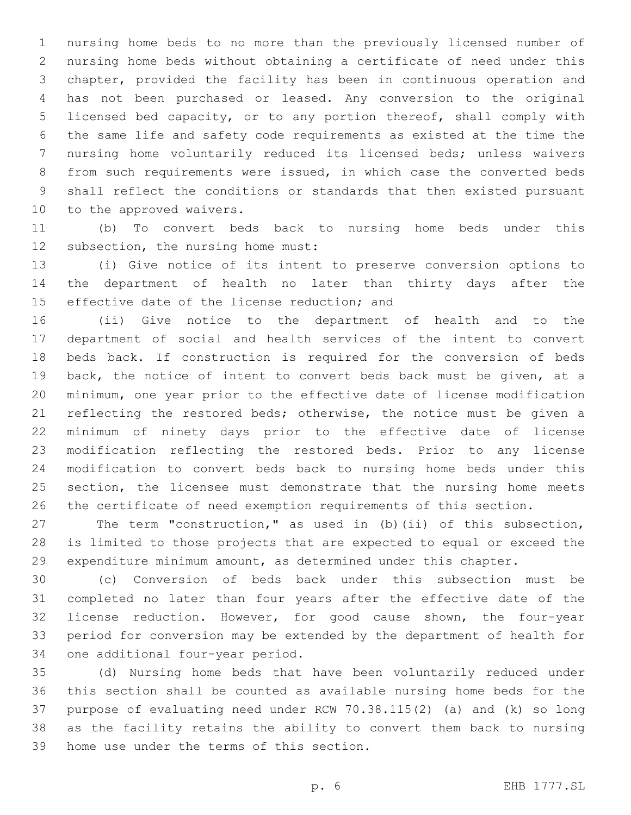nursing home beds to no more than the previously licensed number of nursing home beds without obtaining a certificate of need under this chapter, provided the facility has been in continuous operation and has not been purchased or leased. Any conversion to the original licensed bed capacity, or to any portion thereof, shall comply with the same life and safety code requirements as existed at the time the nursing home voluntarily reduced its licensed beds; unless waivers from such requirements were issued, in which case the converted beds shall reflect the conditions or standards that then existed pursuant 10 to the approved waivers.

 (b) To convert beds back to nursing home beds under this 12 subsection, the nursing home must:

 (i) Give notice of its intent to preserve conversion options to the department of health no later than thirty days after the 15 effective date of the license reduction; and

 (ii) Give notice to the department of health and to the department of social and health services of the intent to convert beds back. If construction is required for the conversion of beds back, the notice of intent to convert beds back must be given, at a minimum, one year prior to the effective date of license modification 21 reflecting the restored beds; otherwise, the notice must be given a minimum of ninety days prior to the effective date of license modification reflecting the restored beds. Prior to any license modification to convert beds back to nursing home beds under this 25 section, the licensee must demonstrate that the nursing home meets the certificate of need exemption requirements of this section.

 The term "construction," as used in (b)(ii) of this subsection, is limited to those projects that are expected to equal or exceed the expenditure minimum amount, as determined under this chapter.

 (c) Conversion of beds back under this subsection must be completed no later than four years after the effective date of the license reduction. However, for good cause shown, the four-year period for conversion may be extended by the department of health for 34 one additional four-year period.

 (d) Nursing home beds that have been voluntarily reduced under this section shall be counted as available nursing home beds for the purpose of evaluating need under RCW 70.38.115(2) (a) and (k) so long as the facility retains the ability to convert them back to nursing 39 home use under the terms of this section.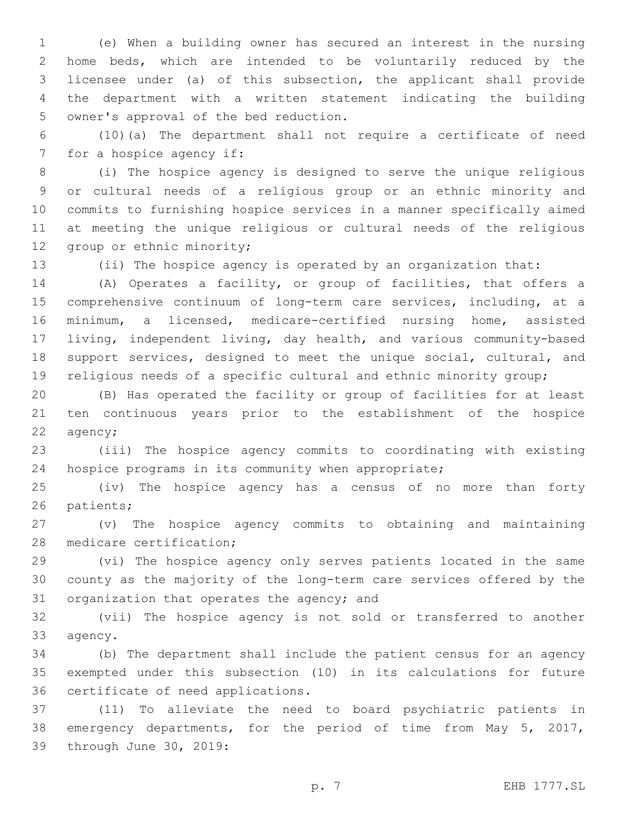(e) When a building owner has secured an interest in the nursing home beds, which are intended to be voluntarily reduced by the licensee under (a) of this subsection, the applicant shall provide the department with a written statement indicating the building 5 owner's approval of the bed reduction.

 (10)(a) The department shall not require a certificate of need 7 for a hospice agency if:

 (i) The hospice agency is designed to serve the unique religious or cultural needs of a religious group or an ethnic minority and commits to furnishing hospice services in a manner specifically aimed at meeting the unique religious or cultural needs of the religious 12 group or ethnic minority;

(ii) The hospice agency is operated by an organization that:

 (A) Operates a facility, or group of facilities, that offers a comprehensive continuum of long-term care services, including, at a minimum, a licensed, medicare-certified nursing home, assisted living, independent living, day health, and various community-based support services, designed to meet the unique social, cultural, and religious needs of a specific cultural and ethnic minority group;

 (B) Has operated the facility or group of facilities for at least ten continuous years prior to the establishment of the hospice 22 agency;

 (iii) The hospice agency commits to coordinating with existing hospice programs in its community when appropriate;

 (iv) The hospice agency has a census of no more than forty 26 patients;

 (v) The hospice agency commits to obtaining and maintaining 28 medicare certification;

 (vi) The hospice agency only serves patients located in the same county as the majority of the long-term care services offered by the 31 organization that operates the agency; and

 (vii) The hospice agency is not sold or transferred to another 33 agency.

 (b) The department shall include the patient census for an agency exempted under this subsection (10) in its calculations for future 36 certificate of need applications.

 (11) To alleviate the need to board psychiatric patients in emergency departments, for the period of time from May 5, 2017, 39 through June 30, 2019: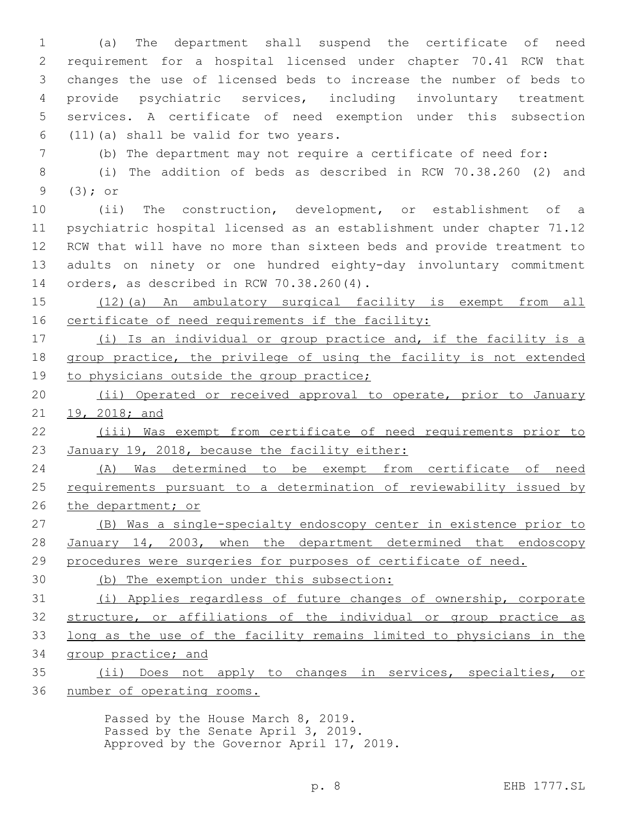(a) The department shall suspend the certificate of need requirement for a hospital licensed under chapter 70.41 RCW that changes the use of licensed beds to increase the number of beds to provide psychiatric services, including involuntary treatment services. A certificate of need exemption under this subsection  $(11)(a)$  shall be valid for two years. (b) The department may not require a certificate of need for: (i) The addition of beds as described in RCW 70.38.260 (2) and

 $(3);$  or

 (ii) The construction, development, or establishment of a psychiatric hospital licensed as an establishment under chapter 71.12 RCW that will have no more than sixteen beds and provide treatment to adults on ninety or one hundred eighty-day involuntary commitment 14 orders, as described in RCW 70.38.260(4).

 (12)(a) An ambulatory surgical facility is exempt from all certificate of need requirements if the facility:

 (i) Is an individual or group practice and, if the facility is a group practice, the privilege of using the facility is not extended 19 to physicians outside the group practice;

20 (ii) Operated or received approval to operate, prior to January 19, 2018; and

 (iii) Was exempt from certificate of need requirements prior to January 19, 2018, because the facility either:

 (A) Was determined to be exempt from certificate of need requirements pursuant to a determination of reviewability issued by the department; or

 (B) Was a single-specialty endoscopy center in existence prior to January 14, 2003, when the department determined that endoscopy procedures were surgeries for purposes of certificate of need.

(b) The exemption under this subsection:

 (i) Applies regardless of future changes of ownership, corporate structure, or affiliations of the individual or group practice as long as the use of the facility remains limited to physicians in the group practice; and

 (ii) Does not apply to changes in services, specialties, or number of operating rooms.

> Passed by the House March 8, 2019. Passed by the Senate April 3, 2019. Approved by the Governor April 17, 2019.